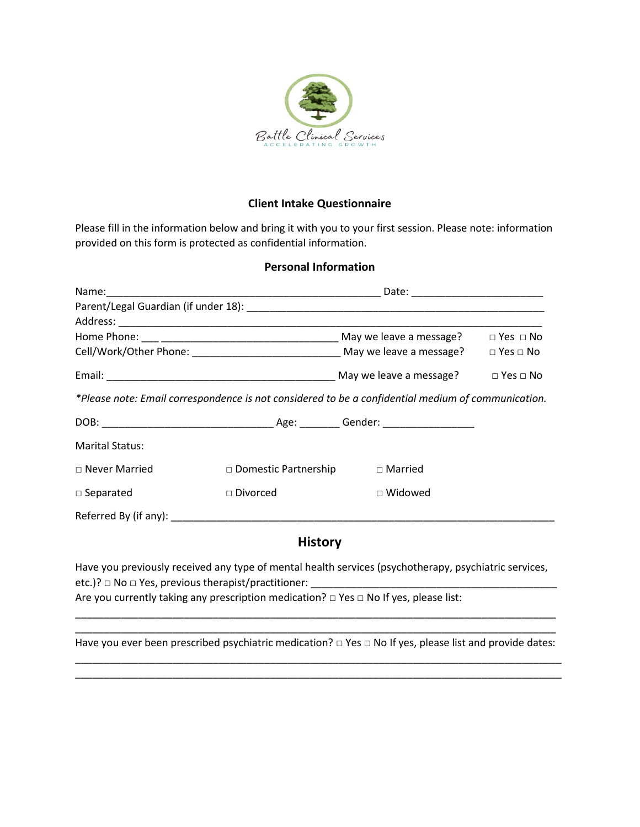

## **Client Intake Questionnaire**

Please fill in the information below and bring it with you to your first session. Please note: information provided on this form is protected as confidential information.

## **Personal Information**

| *Please note: Email correspondence is not considered to be a confidential medium of communication. |                                                  |                |  |  |  |  |
|----------------------------------------------------------------------------------------------------|--------------------------------------------------|----------------|--|--|--|--|
|                                                                                                    |                                                  |                |  |  |  |  |
| <b>Marital Status:</b>                                                                             |                                                  |                |  |  |  |  |
| $\Box$ Never Married                                                                               | $\square$ Domestic Partnership $\square$ Married |                |  |  |  |  |
| Divorced<br>$\Box$ Separated                                                                       |                                                  | $\Box$ Widowed |  |  |  |  |
|                                                                                                    |                                                  |                |  |  |  |  |
| <b>History</b>                                                                                     |                                                  |                |  |  |  |  |

Have you previously received any type of mental health services (psychotherapy, psychiatric services, etc.)? □ No □ Yes, previous therapist/practitioner: \_ Are you currently taking any prescription medication?  $\Box$  Yes  $\Box$  No If yes, please list:

\_\_\_\_\_\_\_\_\_\_\_\_\_\_\_\_\_\_\_\_\_\_\_\_\_\_\_\_\_\_\_\_\_\_\_\_\_\_\_\_\_\_\_\_\_\_\_\_\_\_\_\_\_\_\_\_\_\_\_\_\_\_\_\_\_\_\_\_\_\_\_\_\_\_\_\_\_\_\_\_\_\_\_\_ Have you ever been prescribed psychiatric medication?  $□$  Yes  $□$  No If yes, please list and provide dates: \_\_\_\_\_\_\_\_\_\_\_\_\_\_\_\_\_\_\_\_\_\_\_\_\_\_\_\_\_\_\_\_\_\_\_\_\_\_\_\_\_\_\_\_\_\_\_\_\_\_\_\_\_\_\_\_\_\_\_\_\_\_\_\_\_\_\_\_\_\_\_\_\_\_\_\_\_\_\_\_\_\_\_\_\_

\_\_\_\_\_\_\_\_\_\_\_\_\_\_\_\_\_\_\_\_\_\_\_\_\_\_\_\_\_\_\_\_\_\_\_\_\_\_\_\_\_\_\_\_\_\_\_\_\_\_\_\_\_\_\_\_\_\_\_\_\_\_\_\_\_\_\_\_\_\_\_\_\_\_\_\_\_\_\_\_\_\_\_\_\_

\_\_\_\_\_\_\_\_\_\_\_\_\_\_\_\_\_\_\_\_\_\_\_\_\_\_\_\_\_\_\_\_\_\_\_\_\_\_\_\_\_\_\_\_\_\_\_\_\_\_\_\_\_\_\_\_\_\_\_\_\_\_\_\_\_\_\_\_\_\_\_\_\_\_\_\_\_\_\_\_\_\_\_\_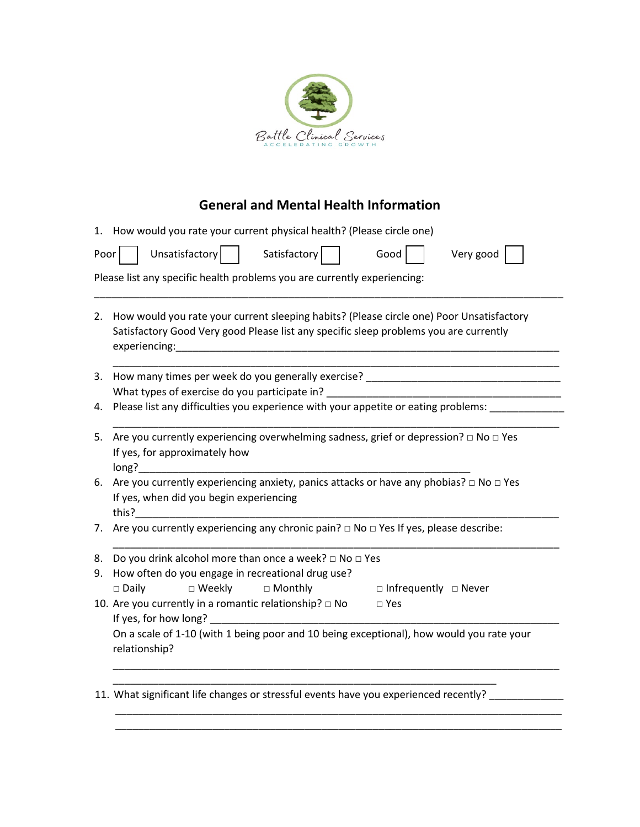

## **General and Mental Health Information**

|      | 1. How would you rate your current physical health? (Please circle one)                                                                                                                                                          |  |  |  |  |
|------|----------------------------------------------------------------------------------------------------------------------------------------------------------------------------------------------------------------------------------|--|--|--|--|
| Poor | Unsatisfactory  <br>Satisfactory<br>Good<br>Very good                                                                                                                                                                            |  |  |  |  |
|      | Please list any specific health problems you are currently experiencing:                                                                                                                                                         |  |  |  |  |
| 2.   | How would you rate your current sleeping habits? (Please circle one) Poor Unsatisfactory<br>Satisfactory Good Very good Please list any specific sleep problems you are currently                                                |  |  |  |  |
|      | 3. How many times per week do you generally exercise? ___________________________                                                                                                                                                |  |  |  |  |
|      | What types of exercise do you participate in?                                                                                                                                                                                    |  |  |  |  |
| 4.   | Please list any difficulties you experience with your appetite or eating problems:                                                                                                                                               |  |  |  |  |
| 5.   | Are you currently experiencing overwhelming sadness, grief or depression? $\Box$ No $\Box$ Yes<br>If yes, for approximately how<br>long?                                                                                         |  |  |  |  |
| 6.   | Are you currently experiencing anxiety, panics attacks or have any phobias? $\Box$ No $\Box$ Yes<br>If yes, when did you begin experiencing<br>this?                                                                             |  |  |  |  |
| 7.   | Are you currently experiencing any chronic pain? $\Box$ No $\Box$ Yes If yes, please describe:                                                                                                                                   |  |  |  |  |
| 8.   | Do you drink alcohol more than once a week? $\square$ No $\square$ Yes                                                                                                                                                           |  |  |  |  |
| 9.   | How often do you engage in recreational drug use?                                                                                                                                                                                |  |  |  |  |
|      | $\square$ Weekly<br>$\Box$ Daily<br>□ Monthly<br>$\square$ Infrequently $\square$ Never                                                                                                                                          |  |  |  |  |
|      | 10. Are you currently in a romantic relationship? $\Box$ No<br>$\square$ Yes                                                                                                                                                     |  |  |  |  |
|      | If yes, for how long?<br>The same state of the state of the state of the state of the state of the state of the state of the state of the state of the state of the state of the state of the state of the state of the state of |  |  |  |  |
|      | On a scale of 1-10 (with 1 being poor and 10 being exceptional), how would you rate your<br>relationship?                                                                                                                        |  |  |  |  |
|      |                                                                                                                                                                                                                                  |  |  |  |  |
|      | 11. What significant life changes or stressful events have you experienced recently?                                                                                                                                             |  |  |  |  |

\_\_\_\_\_\_\_\_\_\_\_\_\_\_\_\_\_\_\_\_\_\_\_\_\_\_\_\_\_\_\_\_\_\_\_\_\_\_\_\_\_\_\_\_\_\_\_\_\_\_\_\_\_\_\_\_\_\_\_\_\_\_\_\_\_\_\_\_\_\_\_\_\_\_\_\_\_\_

\_\_\_\_\_\_\_\_\_\_\_\_\_\_\_\_\_\_\_\_\_\_\_\_\_\_\_\_\_\_\_\_\_\_\_\_\_\_\_\_\_\_\_\_\_\_\_\_\_\_\_\_\_\_\_\_\_\_\_\_\_\_\_\_\_\_\_\_\_\_\_\_\_\_\_\_\_\_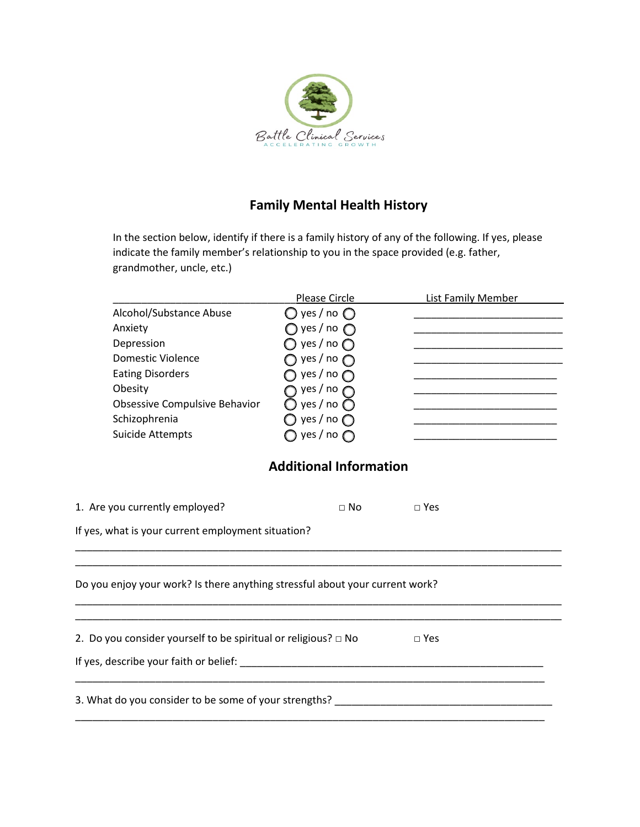

## **Family Mental Health History**

In the section below, identify if there is a family history of any of the following. If yes, please indicate the family member's relationship to you in the space provided (e.g. father, grandmother, uncle, etc.)

|                                                                                  | Please Circle                  | <b>List Family Member</b>                                                                                                                                                                                                            |  |  |
|----------------------------------------------------------------------------------|--------------------------------|--------------------------------------------------------------------------------------------------------------------------------------------------------------------------------------------------------------------------------------|--|--|
| Alcohol/Substance Abuse                                                          | $\bigcirc$ yes / no $\bigcirc$ | <u> 1989 - Johann John Stone, mars et al.</u>                                                                                                                                                                                        |  |  |
| Anxiety                                                                          | $\bigcirc$ yes / no $\bigcirc$ |                                                                                                                                                                                                                                      |  |  |
| Depression                                                                       | yes / no $\bigcirc$            |                                                                                                                                                                                                                                      |  |  |
| <b>Domestic Violence</b>                                                         | $\bigcirc$ yes / no $\bigcirc$ | <u> 1989 - Johann John Stein, markin fan it ferstjer fan it ferstjer fan it ferstjer fan it ferstjer fan it fers</u>                                                                                                                 |  |  |
| <b>Eating Disorders</b>                                                          | yes / no $\bigcap$             | <u> 1999 - Johann John Stone, mars et al. 1999 - John Stone, mars et al. 1999 - John Stone, mars et al. 1999 - John Stone</u>                                                                                                        |  |  |
| Obesity                                                                          | yes / no $\bigcap$             | the company of the company of the company of the                                                                                                                                                                                     |  |  |
| Obsessive Compulsive Behavior                                                    | yes / no $\bigcirc$            | <u> 1989 - Johann John Harry Harry Harry Harry Harry Harry Harry Harry Harry Harry Harry Harry Harry Harry Harry Harry Harry Harry Harry Harry Harry Harry Harry Harry Harry Harry Harry Harry Harry Harry Harry Harry Harry Har</u> |  |  |
| Schizophrenia                                                                    | $\bigcirc$ yes / no $\bigcirc$ | the control of the control of the control of                                                                                                                                                                                         |  |  |
| <b>Suicide Attempts</b>                                                          | $\bigcirc$ yes / no $\bigcirc$ | <u> 1989 - Johann John Stone, markin amerikan bahasa dan berkembang dan berkembang dan bahasa dan berkembang dan</u>                                                                                                                 |  |  |
|                                                                                  | <b>Additional Information</b>  |                                                                                                                                                                                                                                      |  |  |
| 1. Are you currently employed?                                                   | $\Box$ No                      | $\square$ Yes                                                                                                                                                                                                                        |  |  |
| If yes, what is your current employment situation?                               |                                |                                                                                                                                                                                                                                      |  |  |
|                                                                                  |                                |                                                                                                                                                                                                                                      |  |  |
| Do you enjoy your work? Is there anything stressful about your current work?     |                                |                                                                                                                                                                                                                                      |  |  |
|                                                                                  |                                |                                                                                                                                                                                                                                      |  |  |
| 2. Do you consider yourself to be spiritual or religious? $\Box$ No              |                                | $\Box$ Yes                                                                                                                                                                                                                           |  |  |
|                                                                                  |                                |                                                                                                                                                                                                                                      |  |  |
| 3. What do you consider to be some of your strengths? __________________________ |                                |                                                                                                                                                                                                                                      |  |  |
|                                                                                  |                                |                                                                                                                                                                                                                                      |  |  |